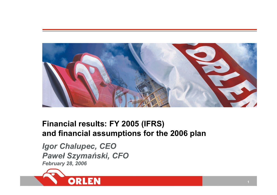

# **Financial results: FY 2005 (IFRS) and financial assumptions for the 2006 plan**

*Igor Chalupec, CEO Paweł Szymański, CFO February 28, 2006* 

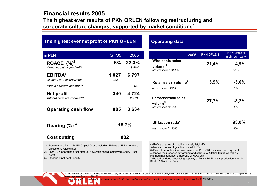# **Financial results 2005The highest ever results of PKN ORLEN following restructuring and corporate culture changes; supported by market conditions1**

| m PLN                                          | Q4 '05       | 2005            |
|------------------------------------------------|--------------|-----------------|
| ROACE $(%)^2$<br>without negative goodwill**   | 6%           | 22,3%<br>13.5%* |
| <b>EBITDA*</b><br>including one-off provisions | 1 027<br>282 | 6797            |
| without negative goodwill**                    |              | 4791            |
| Net profit<br>without negative goodwill**      | 340          | 4 7 2 4<br>2718 |
| <b>Operating cash flow</b>                     | 885          | 3634            |
| Gearing $(\%)$ <sup>3</sup>                    |              | 15,7%           |
| <b>Cost cutting</b>                            |              | 882             |

### **Operating data**

|                                                                         | 2005 | <b>PKN ORLEN</b> | <b>PKN ORLEN</b><br>main company |
|-------------------------------------------------------------------------|------|------------------|----------------------------------|
| <b>Wholesale sales</b><br>volume <sup>4</sup><br>Assumption for 2005 r. |      | 21,4%            | 4,9%<br>4.0%                     |
| Retail sales volume <sup>5</sup>                                        |      | 3,9%             | $-3,0%$                          |
| Assumption for 2005                                                     |      |                  | 5%                               |
| <b>Petrochemical sales</b><br>volume <sup>6</sup>                       |      | 27,7%            | $-8,2%$                          |
| Assumptions for 2005                                                    |      |                  | 5%                               |
| Utilization ratio <sup>7</sup>                                          |      |                  | 93,0%                            |
| Assumptions for 2005                                                    |      |                  | 96%                              |

unless otherwise stated

2) ROACE = operating profit after tax / average capital employed (equity + net debt)

*were depressed by app. PLN 282 m.* 

3) Gearing = net debt / equity

4) Refers to sales of gasoline, diesel, Jet, LHO.

5) Refers to sales of gasoline, diesel, LPG.

6) Drop of petrochemical sales volume at PKN ORLEN main company due to extended maintenance turnaround and start-up of Olefins II unit, as well as planned maintenance turnaround of HOG unit.

7) Based on deep processing capacity of PKN ORLEN main production plant in Płock 13.5 m tones/year

Due to creation on-off provisions for business risk, restructuring, write-off receivables and company protection package - including PLN 149 m at ORLEN Deutschland - 4q'05 results

*\*\* Unipetrol results consolidation is resulting in one-off effect of negative goodwill accounted to another operating costs in amount of PLN 2 006 m.*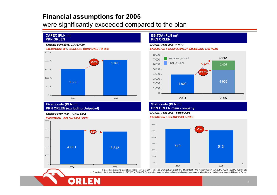# **Financial assumptions for 2005**

were significantly exceeded compared to the plan

#### **CAPEX (PLN m) PKN ORLEN**

#### *TARGET FOR 2005: 2,3 PLN bln*



#### **Fixed costs (PLN m) PKN ORLEN (excluding Unipetrol)**

OR

#### *TARGET FOR 2005: below 2004*



#### **EBITDA (PLN m)1 PKN ORLEN**

#### *TARGET FOR 2005: > 14%1*

*EXECUTION : SIGNIFICANTLY EXCEEDING THE PLAN*



#### **Staff costs (PLN m) PKN ORLEN main company**

*TARGET FOR 2005: below 2004*

#### *EXECUTION : BELOW 2004 LEVEL*



1) Based on the same market conditions – average 2004: crude oil Brent \$38.3/b,Brent/Ural differential \$4.1/b, refinery margin \$5.6/b, PLN/EUR 4.52; PLN/USD 3.65; 2) Provision for business risk created in Q2'2005 at PKN ORLEN related to potential adverse financial effects of agreements related to disposal of some assets of Unipetrol Group.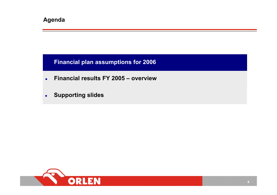# **Financial plan assumptions for 2006**

- $\bullet$ **Financial results FY 2005 – overview**
- $\bullet$ **Supporting slides**

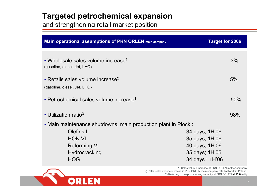# **Targeted petrochemical expansion**

and strengthening retail market position

| <b>Main operational assumptions of PKN ORLEN</b> main company                            | <b>Target for 2006</b>                                                                 |
|------------------------------------------------------------------------------------------|----------------------------------------------------------------------------------------|
| • Wholesale sales volume increase <sup>1</sup><br>(gasoline, diesel, Jet, LHO)           | 3%                                                                                     |
| • Retails sales volume increase <sup>2</sup><br>(gasoline, diesel, Jet, LHO)             | 5%                                                                                     |
| • Petrochemical sales volume increase <sup>1</sup>                                       | 50%                                                                                    |
| • Utilization ratio <sup>3</sup>                                                         | 98%                                                                                    |
| • Main maintenance shutdowns, main production plant in Plock :                           |                                                                                        |
| Olefins II<br><b>HON VI</b><br><b>Reforming VI</b><br><b>Hydrocracking</b><br><b>HOG</b> | 34 days; 1H'06<br>35 days; 1H'06<br>40 days; 1H'06<br>35 days; 1H'06<br>34 days; 1H'06 |



1) Sales volume increase at PKN ORLEN mother company 2) Retail sales volume increase in PKN ORLEN main company retail network in Poland. 2) Referring to deep processing capacity at PKN ORLEN **at 13,8** m t/y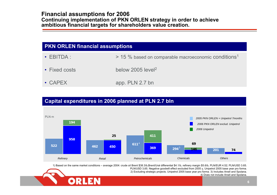# **Financial assumptions for 2006 Continuing implementation of PKN ORLEN strategy in order to achieve ambitious financial targets for shareholders value creation.**

| <b>PKN ORLEN financial assumptions</b> |                                                                  |  |  |  |  |
|----------------------------------------|------------------------------------------------------------------|--|--|--|--|
| $\cdot$ EBITDA :                       | > 15 % based on comparable macroeconomic conditions <sup>1</sup> |  |  |  |  |
| • Fixed costs                          | below 2005 level <sup>2</sup>                                    |  |  |  |  |
| $\cdot$ CAPEX                          | app. PLN 2.7 bn                                                  |  |  |  |  |

# **Capital expenditures in 2006 planned a t PLN 2.7 bln**



1) Based on the sa me market conditions – average 2004: crude oil Brent \$38.3/b,Brent/Ural differential \$4.1/b, refinery margin \$5.6/b, PL N/EUR 4.52; PL N/USD 3.65.



4) Does not include Anwil and Spolana.

PL N/USD 3,65. Negative goodwill effect excluded from 2005 y, Unipetrol 2005 base year pro forma. 2) Excluding strategic projects. Unipetrol 2005 base year pro forma. 3) Includes Anwil and Spolana.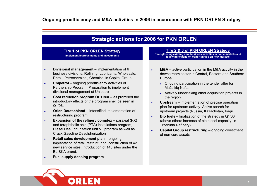# **Strategic actions for 2006 for PKN ORLEN**

### **Tire 1 of PKN ORLEN Strategy**

**Implement improvements and investments**

- $\bullet$  **Divisional management** – implementation of 6 business divisions: Refining, Lubricants, Wholesale, Retail, Petrochemical, Chemical in Capital Group
- $\bullet$  **Unipetrol** – ongoing proefficiency activities of Partnership Program. Preparation to implement divisional management at Unipetrol
- z **Cost reduction program OPTIMA** – as promised the introductory effects of the program shell be seen in Q1'06.
- $\bullet$  **Orlen Deutschland** - intensified implementation of restructuring program
- z **Expansion of the refinery complex –** paraxial (PX) and teraphthalic acid (PTA) installations program, Diesel Desulphurization unit VII program as well as Crack Gasoline Desulphurization
- o **Retail sales development plan** – ongoing implantation of retail restructuring, construction of 42 new service sites. Introduction of 140 sites under the BLISKA brand.
- o **Fuel supply densing program**

#### **Tire 2 & 3 of PKN ORLEN Strategy**

**Strengthening existing core business activities in home markets and following expansion opportunities on new markets**

- o **M&A** – active participation in the M&A activity in the downstream sector in Central, Eastern and Southern Europe
	- Ongoing participation in the tender offer for Mažeikių Nafta
	- Actively undertaking other acquisition projects in the region
- $\bullet$  **Upstream** – implementation of precise operation plan for upstream activity. Active search for upstream projects (Russia, Kazachstan, Iraqu)
- $\bullet$  **Bio fuels** – finalization of the strategy in Q1'06 (above others increase of bio diesel capacity in Trzebinia Refinery).
- $\bullet$  **Capital Group restructuring** – ongoing divestment of non-core assets

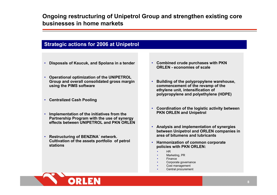# **Ongoing restructuring of Unipetrol Group and strengthen existing core businesses in home markets**

# **Strategic actions for 2006 at Unipetrol**

- **Disposals of Kaucuk, and Spolana in a tender**
- • **Operational optimization of t he UNIPETROL Group and overall consolidated gross margin usi ng the PIMS softw are**
- **Centr alized Cash Pooling**
- **Implementation of the initiatives from the Partnership Program with the use of synergy effects between UNIPETROL and PKN ORLEN**
- **Restructuring of BENZINA´ network. Cultivation of t he assets portfoli o of petrol stations**

ORL

- **Combi ned crude p urchases with PKN ORLEN -economies of scale**
- **Building of the pol y propylene w arehouse, commenc ement of the rev a mp of t he ethylene unit, intensification of polypropylene a nd poly ethylene (H DPE)**
- **Coordination of t he logistic activity between PKN ORLEN and Unipetrol**
- **Analy sis and implementation of synergies between Uni petrol and ORLEN companies in area of bitumens and l ubricants**
- **Harmonization of common corporate policies with PKN ORLEN:**
	- •HR
	- •Marketing, PR
	- •Finance
	- •Corporate governance
	- •Cost management
	- •Central procurement

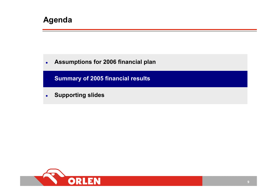# **Agenda**

 $\bullet$ **Assumptions for 2006 financial plan**

**Summary of 2005 financial results**

 $\bullet$ **Supporting slides**

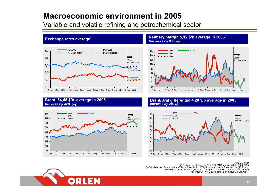# **Macroeconomic environment in 2005**

Variable and volatile refining and petrochemical sector



#### **Exchange rates average<sup>1</sup> <b>Refinery margin 5,12 \$/b average in 2005**<sup>3</sup> *Decrease by 9% y/y*



### **Brent 54,48 \$/b average in 2005** *Increase by 42 % y/y*



#### **Brent/Ural differ ential 4,20 \$/b average in 2005**  *Increase by 2% y/y*



#### 1) Source: NBP 2) Estimates published in PKN ORLEN Strategy Update 2006-2009<br>3) Calculated as: Products (88.36%) vs. Brent Dtd (100%). Products contain Premium Unl (25.21%), EN590 (23.20%), Naphtha (16.51%), LOO (15.31%), HSFO (5.44%) i Jet (2.69%) (source: CIF N WE quotations, except HSFO FOB ARA)

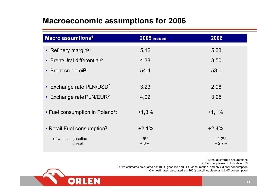# **Macroeconomic assumptions for 2006**

| Macro assumtions <sup>1</sup>               | 2005 (realised) | 2006               |
|---------------------------------------------|-----------------|--------------------|
| • Refinery margin <sup>2</sup> :            | 5,12            | 5,33               |
| • Brent/Ural differential <sup>2</sup> :    | 4,38            | 3,50               |
| • Brent crude $oil2$ :                      | 54,4            | 53,0               |
|                                             |                 |                    |
| • Exchange rate $PLN/USD2$                  | 3,23            | 2,98               |
| • Exchange rate PLN/EUR <sup>2</sup>        | 4,02            | 3,95               |
| • Fuel consumption in Poland <sup>4</sup> : | $+1,3%$         | $+1,1%$            |
| • Retail Fuel consumption <sup>3</sup>      | $+2,1%$         | $+2,4%$            |
| of which: gasoline<br>diesel                | $-5%$<br>$+6%$  | $-1,2%$<br>$+2,7%$ |

1) Annual average assumptions 2) Source: please go to slide no 10 3) O wn estimates calculated as: 100% gasoline and LPG consumption, and 75% diesel consumption 4) O wn estimates calculated as: 100% gasoline, diesel and LHO consumption

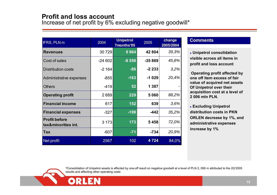# **Profit and loss account**

Increase of net profit by 6% excluding negative goodwill\*

| <b>IFRS, PLN m</b>                          | 2004     | <b>Unipetrol</b><br>7months'05 | 2005     | change<br>2005/2004 | <b>Comment</b>                    |
|---------------------------------------------|----------|--------------------------------|----------|---------------------|-----------------------------------|
| <b>Revenues</b>                             | 30 729   | 8984                           | 42 804   | 39,3%               | • Unipetrol                       |
| Cost of sales                               | $-24602$ | $-8558$                        | $-35869$ | 45,8%               | visible acro<br>profit and I      |
| <b>Distribution costs</b>                   | $-2164$  | $-86$                          | $-2233$  | 3,2%                |                                   |
| Administrative expenses                     | $-855$   | $-163$                         | $-1029$  | 20,4%               | <b>Operating</b><br>one off iten  |
| <b>Others</b>                               | $-419$   | 52                             | 1 3 8 7  |                     | value of ac<br><b>Of Unipetro</b> |
| <b>Operating profit</b>                     | 2689     | 229                            | 5060     | 88,2%               | acquisition<br>2 006 mln P        |
| <b>Financial income</b>                     | 617      | 152                            | 639      | 3,6%                | • Excluding                       |
| <b>Financial expenses</b>                   | $-327$   | $-199$                         | $-442$   | 35,2%               | distributior                      |
| <b>Profit before</b><br>tax&minorities int. | 3 1 7 3  | 173                            | 5458     | 72,0%               | <b>ORLEN</b> dec<br>administrat   |
| <b>Tax</b>                                  | $-607$   | $-71$                          | $-734$   | 20,9%               | increase by                       |
| Net profit                                  | 2567     | 102                            | 4724     | 84,0%               |                                   |

### **Comments**

z **Unipetrol consolidation visible across all items in profit and loss account**

**Operating profit affected by one off item excess of fair value of acquired net assets Of Unipetrol over their acquisition cost at a level of 2 006 mln PLN.**

z **Excluding Unipetrol distribution costs in PKN ORLEN decrease by 1%, and administrative expenses increase by 1%**

*\**Consolidation of Unipetrol assets is affected by one-off result on negative goodwill at a level of PLN 2, 006 m attributed to the 2Q'2005 results and affecting other operating costs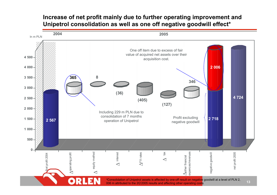# **Increase of net profit mainly due to further operating improvement and Unipetrol consolidation as well as one off negative goodwill effect\***



006 m attributed to the 2Q'2005 results and affecting other operating costs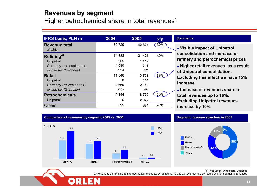# **Revenues by segment**

Higher petrochemical share in total revenues<sup>1</sup>

| <b>IFRS basis, PLN m</b>         | 2004    | 2005    |     |
|----------------------------------|---------|---------|-----|
| <b>Revenue total</b><br>of which | 30 729  | 42 804  | 39% |
| Refining <sup>2)</sup>           | 14 338  | 21 4 21 | 49% |
| Unipetrol                        | 905     | 1 1 1 7 |     |
| Germany (ex. excise tax)         | 1090    | 913     |     |
| excise tax (Germany)             | 1 0 9 0 | 913     |     |
| <b>Retail</b>                    | 11 548  | 13709   | 19% |
| Unipetrol                        | 0       | 1014    |     |
| Germany (ex.excise tax)          | 2660    | 2980    |     |
| excise tax (Germany)             | 3978    | 3 5 9 1 |     |
| <b>Petrochemicals</b>            | 4 144   | 6790    | 64% |
| Unipetrol                        | 0       | 2922    |     |
| Others                           | 699     | 884     | 26% |

#### **Comments**

**• Visible impact of Unipetrol consolidation and increase of refinery and petrochemical prices**

z **Higher retail revenues as a result of Unipetrol consolidation. Excluding this effect we have 15% increase**

**• Increase of revenues share in total revenues up to 16%. Excluding Unipetrol revenues increase by 10%**



#### **Segment revenue structure in 2005**



1) Production, Wholesale, Logistics

2) Revenues do not include inte-segmental revenues. On slides 17,19 and 21 revenues are corrected by inter-segmental revenues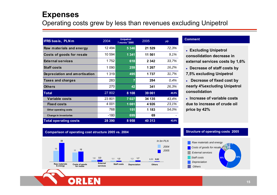# **Expenses**

# Operating costs grew by less than revenues excluding Unipetrol

| IFRS basis, PLN m             | 2004    | <b>Unipetrol</b><br>7 monts "2005 | 2005   | y/y   |
|-------------------------------|---------|-----------------------------------|--------|-------|
| Raw materials and energy      | 12494   | 5 3 4 6                           | 21 529 | 72,3% |
| Costs of goods for resale     | 10 594  | 1 3 4 1                           | 11 561 | 9,1%  |
| <b>External services</b>      | 1752    | 618                               | 2 342  | 33,7% |
| <b>Staff costs</b>            | 1 0 9 0 | 259                               | 1 267  | 16,2% |
| Depreciation and amortisation | 1 3 1 9 | 495                               | 1 737  | 31,7% |
| <b>Taxes and charges</b>      | 283     | 7                                 | 284    | 0,4%  |
| <b>Others</b>                 | 270     | 42                                | 341    | 26,3% |
| <b>Total</b>                  | 27 802  | 8 1 0 8                           | 39 061 | 40,5% |
| <b>Variable costs</b>         | 23 801  | 7 0 2 7                           | 34 135 | 43,4% |
| <b>Fixed costs</b>            | 4 0 0 1 | 1081                              | 4926   | 23,1% |
| Other operating costs         | 768     | 151                               | 1 183  | 54,0% |
| <b>Change in inventories</b>  | $-180$  | 699                               | 69     |       |
| <b>Total operating costs</b>  | 28 390  | 8958                              | 40 313 | 42,0% |

#### **Comment**

z **Excluding Unipetrol consolidation decrease in external services costs by 1,6%**

- z **Decrease of staff costs by 7,5% excluding Unipetrol**
- **Decrease of fixed cost by nearly 4%excluding Unipetrol consolidation**

**Example 2 Increase of variable costs due to increase of crude oil price by 42%**

#### **Comparison of operating cost structure 2005 vs. 2004 Structure of operating costs <sup>2005</sup>**



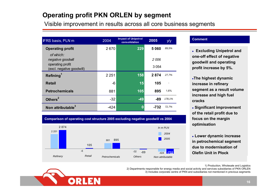# **Operating profit PKN ORLEN by segment**

Visible improvement in results across all core business segments

| <b>IFRS basis, PLN m</b>                                                        | 2004    | <b>Impact of Unipetrol</b><br>consolidation | 2005            | y/y    |
|---------------------------------------------------------------------------------|---------|---------------------------------------------|-----------------|--------|
| <b>Operating profit</b>                                                         | 2670    | 229                                         | 5060            | 89,5%  |
| of which:<br>negative goodwill<br>operating profit<br>(excl. negative goodwill) |         |                                             | 2006<br>3 0 5 4 |        |
| Refining <sup>1</sup>                                                           | 2 2 5 1 | 158                                         | 2874            | 27,7%  |
| Retail                                                                          | $-6$    | 15                                          | 105             |        |
| <b>Petrochemicals</b>                                                           | 881     | 105                                         | 895             | 1,6%   |
| Others <sup>2</sup>                                                             | $-32$   | $-49$                                       | -89             | 178,1% |
| Non attributable <sup>3</sup>                                                   | -424    | 0                                           | -732            | 72,7%  |

#### **Comment**

**• Excluding Unipetrol and one-off effect of negativ e goodwill a nd operati ng profit i ncrease by 5%.**

<sup>z</sup>**The highe st dynami cincrease in refinery segment as a result vol ume**  increase and high fuel **cracks**

z **Significant improve ment of the retail profit due to focus on the margin optimisation**

z **L o w er dynamic increase in petrochemical s egment due to modernisation of Olefin Unit in Płock**

1) Production, Wholesale and Logistics



*Refinery Retail Petroche*

**2 251**

**2 874**

2) Departments responsible for energy media and social activity and services subsidiaries of P K N ORLEN 3) Includes corporate centre of PK N and subsidiaries not mentioned in previous segments



**881**

*micals*

**895**

**-6 -32 -424**

**-89**

*Others Non attributable*

**-732**

*In m PL N20042005*

**105**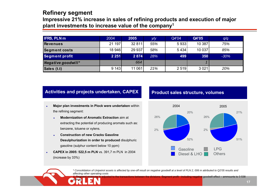# **Refinery segment**

**Impressive 21% increase in sales of refining products and execution of major plant investments to increase value of the company1**

| <b>IFRS, PLN m</b>    | 2004    | 2005    | y/y | Q4'04   | Q4'05  | q/q    |
|-----------------------|---------|---------|-----|---------|--------|--------|
| <b>Revenues</b>       | 21 197  | 32 811  | 55% | 5933    | 10 387 | 75%    |
| <b>Segment costs</b>  | 18 946  | 29 937  | 58% | 5434    | 10 037 | 85%    |
| <b>Segment profit</b> | 2 2 5 1 | 2 8 7 4 | 28% | 499     | 350    | $-30%$ |
| Negative goodwill*    |         | 664     |     |         |        |        |
| Sales (t.t)           | 9 1 4 3 | 11 061  | 21% | 2 5 1 9 | 3 0 21 | 20%    |

### **Activities and projects undertaken, CAPEX**

- e **Major plan investments in Plock were undertaken** within the refining segment:
	- e **Modernization of Aromatic Extraction** aim at extracting the potential of producing aromats such as: benzene, toluene or xylens.
	- e **Construction of new Cracks Gasoline Desulphurization in order to produced** disulphuric gasoline (sulphur content below 10 ppm)
- o **CAPEX in 2005: 522,5 m PLN** vs. 391,7 m PLN in 2004 (increase by 33%)

m PLN

### **Product sales structure, volumes**



*\* Consolidation of Unipetrol assets is affected by one-off result on negative goodwill at a level of PLN 2, 006 m attributed to Q2'05 results and affecting other operating costs*

between the divisions. Segment profit - including negative goodwill effect – ammounts to 3 538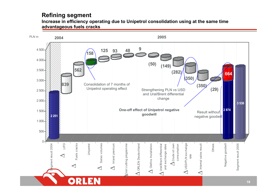# **Refining segment**

**Increase in efficiency operating due to Unipetrol consolidation using at the same time advantageous fuels cracks**

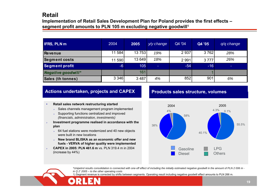# **Retail**

## **Implementation of Retail Sales Development Plan for Poland provides the first effects – segment profit amounts to PLN 105 m excluding negative goodwill1**

| <b>IFRS, PLN m</b>       | 2004    | 2005    | y/y change | Q4 '04  | Q4 '05 | $q/q$ change             |
|--------------------------|---------|---------|------------|---------|--------|--------------------------|
| Revenue                  | 11 584  | 13 753  | 19%        | 2937    | 3762   | 28%                      |
| <b>Segment costs</b>     | 11 590  | 13 649  | 18%        | 2 9 9 1 | 3777   | 26%                      |
| <b>Segment profit</b>    | $-6$    | 105     | -          | $-54$   | $-16$  | $\overline{\phantom{a}}$ |
| Negative goodwill*       |         | 161     |            |         |        |                          |
| <b>Sales (th tonnes)</b> | 3 3 4 6 | 3 4 8 7 | 4%         | 852     | 901    | 6%                       |

### **Actions undertaken, projects and CAPEX**

- •**• Betail sales network restructuring started** 
	- ¾> Sales channels management program implemented
	- ¾ Supporting functions centr alized and impro ved *(financials, administration, investments)*
- ¾ **In vestment pro gra mme realised in accord ance with th eplan**
	- ¾ 64 fuel stations were modernized and 4 0 new objects were built in new locations
	- ¾ **Ne w brand BLISKA as an economic offer and newfuel s - VERVA of higher quality w ere implemented**
- ¾ **C APEX in 2005: PLN 461.6 m** vs. PLN 319.4 m in 2004 (increase b y 44%)

### **Products sales structure, volumes**



\*Unipetrol results consolidation is connected with one-off effect of including the initially estimated negative goodwill in the amount of PLN 2 006 m *in Q 2' 2005 – to the other operating costs* 

1) Segment revenue is corrected by shifts between segments. Operating result including negative goodwill effect amounts to PLN 266 m.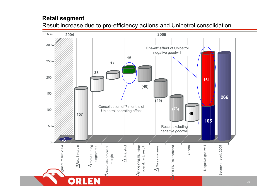# **Retail segment**

Result increase due to pro-efficiency actions and Unipetrol consolidation

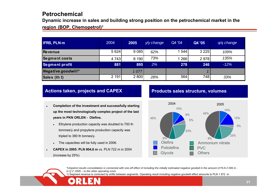# **Petrochemical**

**D ynamic increase in sales and building strong position on the petrochemical market in the** 

### **region (BOP, Chemopetrol)1**

| IFRS, PLN m          | 2004    | 2005    | y/y change | Q4 '04  | Q4 '05  | $q/q$ change |
|----------------------|---------|---------|------------|---------|---------|--------------|
| <b>Revenue</b>       | 5 6 24  | 9 0 8 5 | 62%        | 544     | 3 2 2 5 | 109%         |
| <b>Segment costs</b> | 4 7 4 3 | 8 190   | 73%        | 1 2 6 6 | 2978    | 135%         |
| Segment profit       | 881     | 895     | 2%         | 278     | 246     | $-12%$       |
| Negative goodwill*   |         | 1077    |            |         |         |              |
| Sales (th t)         | 2 1 9 1 | 2 800   | 28%        | 564     | 748     | 33%          |

## **Actions taken, projects and CAPEX**

- o **• Completion of the investment and successfully starting up the most technologi c ally compl e x proj e ct of the last years in PKN ORLEN - Olefins.** 
	- o Eth ylene production capacity w as doubled to 700 th tonnnes/y and propylene production capacity was tripled to 380 th tonnes/y.
	- o The capacities will be fully used in 2006.
- e **CAPEX in 2005: PLN 904,6 m vs. PLN 722 m in 2004** (increase b y 25%)

# **Products sales structure, volumes**



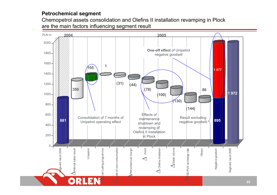# **Petrochemical segment**

Chemopetrol assets consolidation and Olefins II installation revamping in Plock are the main factors influencing segment result

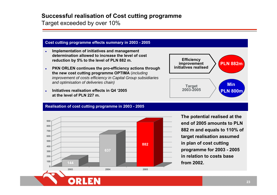# **Successful realisation of Cost cutting programme**

Target exceeded by over 10%

### **Cost cuttin g pro gramme effects summary i n 2003 - 2005**

- o **Implementation of initiatives and management determination allowed to increase the level of cost reductio n b y 5% t o t he level of PLN 882 m.**
- o **• PKN ORLEN** continues the pro-efficiency actions through **the new cost cuttin g pro gramme OPTIMA** (*including improvement of costs efficiency in Capital Group subsidiaries and optimis ation of deliveries chain)*
- $\bullet$  **Initiatives realisation effects in Q4 '2005 at the level of PLN 227 m.**



### **Realisatio n of cost cuttin g pro gramme i n 2003 - 2005**



**The potential realised at the end of 2005 amounts to PLN 882 m and equals to 110 % of target realisation assumed in plan of cost cutting programme for 2003 - 2005 in relation to costs base from 2002.**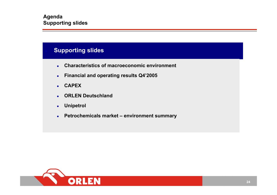# **Supporting slides**

- $\bullet$ **Characteristics of macroeconomic environment**
- $\bullet$ **Financial and operating results Q4'2005**
- $\bullet$ **CAPEX**
- $\bullet$ **ORLEN Deutschland**
- $\bullet$ **Unipetrol**
- $\bullet$ **Petrochemicals market – environment summary**

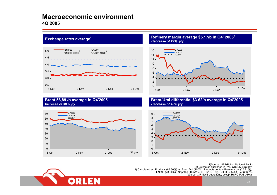# **Macroeconomic environment4Q'2005**



**Brent 56,89 /b average in Q4'2005**

*Increase of 30% y/y*

#### **Exchange rates average<sup>1</sup> Refinery margin average \$5.17/b in Q4' <sup>2005</sup><sup>3</sup>** *Decreaseof 27% y/y*



#### **Brent/Ural differential \$3.62/b average in Q4'2005**  *Decrease of 40% y/y*





1)Source: NBP(Polish National Bank) 2) Estimates published in PKN ORLEN Strategy<br>3) Calculated as: Products (88.36%) vs. Brent Dtd (100%). Products (35.21%),<br>EN590 (23.20%), Naphtha (16.51%), LOO (15.31%), HSFO (5.44%) i Q5.2.69%)<br>(source: CIF NWE quotation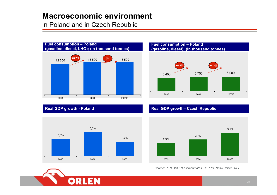# **Macroeconomic environment**

in Poland and in Czech Republic



# **Fuel consumpti on – Poland (gasoline, diesel); (in thousand tonnes)**



## **Real GDP growth - Poland**



### **Real GDP growth– Czech Republic**



*Source: PKN ORLEN estimatimates, CEPRO, Nafta Polska. NBP*

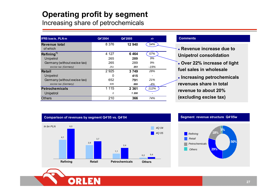# **Operating profit by segment**

Increasing share of petrochemicals

| <b>IFRS basis, PLN m</b>     | Q4'2004 | Q4'2005 | y/y                      |
|------------------------------|---------|---------|--------------------------|
| Revenue total<br>of which    | 8 3 7 6 | 12 940  | 54%                      |
| Refining <sup>1)</sup>       | 4 1 2 7 | 6464    | 57%                      |
| Unipetrol                    | 265     | 289     | 9%                       |
| Germany (without excise tax) | 265     | 289     | 9%                       |
| excise tax (Germany)         | 251     | 203     | -19%                     |
| <b>Retail</b>                | 2 9 2 5 | 3 7 4 9 | 28%                      |
| Unipetrol                    | 0       | 415     | $\overline{\phantom{a}}$ |
| Germany (without excise tax) | 652     | 791     | 21%                      |
| excise tax (Germany)         | 935     | 899     | -4%                      |
| <b>Petrochemicals</b>        | 1 1 1 5 | 2 3 6 1 | 112%                     |
| Unipetrol                    | 0       | 1 208   |                          |
| <b>Others</b>                | 210     | 366     | 74%                      |

#### **Comments**

- **Revenue increase due to Unipetrol consolidation**
- z **Over 22% increase of light fuel sales in wholesale**
- **Increasing petrochemicals revenues share in total revenue to about 20%(excluding excise tax)**



#### **Segment revenue structure Q4'05w**

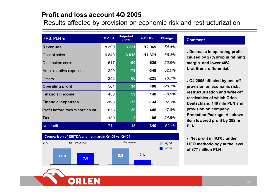# **Profit and loss account 4Q 2005**

Results affected by provision on economic risk and restructurization

| <b>IFRS, PLN m</b>                | Q4'2004 | <b>Unipetrol</b><br>Q4'2005 | Q4'2005  | <b>Change</b> |
|-----------------------------------|---------|-----------------------------|----------|---------------|
| <b>Revenues</b>                   | 8 3 9 9 | 3721                        | 12969    | 54,4%         |
| Cost of sales                     | $-6840$ | $-3618$                     | $-11371$ | 66,2%         |
| <b>Distribution costs</b>         | $-517$  | $-50$                       | $-625$   | 20,9%         |
| Administrative expenses           | $-229$  | $-79$                       | $-348$   | 52,0%         |
| Others $1$                        | $-252$  | 60                          | $-225$   | 10,7%         |
| <b>Operating profit</b>           | 561     | 34                          | 400      | $-28,7%$      |
| <b>Financial income</b>           | 438     | 59                          | 140      | $-68,0%$      |
| <b>Financial expenses</b>         | $-198$  | $-73$                       | $-134$   | 32,3%         |
| Profit before tax&minorities int. | 853     | 20                          | 445      | -47,8%        |
| <b>Tax</b>                        | $-139$  | $-2$                        | $-105$   | 24,5%         |
| Net profit                        | 714     | 18                          | 340      | $-52,4%$      |

#### **Comment**

**• Decrease in operating profit caused by 27% drop in refining margin and lower 40% Ural/Brent differential.** 

z **Q4'2005 affected by one-off provision on economic risk , restructurization and write-off receivables of which Orlen Deutschland 149 mln PLN andprovision on company Protection Package. All above item lowered profit by 282 m PLN**

z **Net profit in 4Q'05 under LIFO methodology at the level of 377 million PLN**

*4Q'044Q'05*



*In %*

**11,0 7,8**

**Comparison of EBITDA and net margin Q4'05 vs. Q4'04**

*EBITDA margin Net margin*

**8,5 2,6**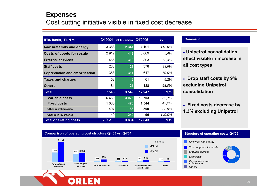# **Expenses** Cost cutting initiative visible in fixed cost decrease

| IFRS basis, PLN m             | Q4'2004 | Q4'05 Unipetrol Q4'2005 |        | у/у    |
|-------------------------------|---------|-------------------------|--------|--------|
| Raw materials and energy      | 3 3 8 3 | 2 3 4 1                 | 7 191  | 112,6% |
| Costs of goods for resale     | 2912    | 442                     | 3069   | 5,4%   |
| <b>External services</b>      | 466     | 310                     | 803    | 72,3%  |
| <b>Staff costs</b>            | 283     | 121                     | 378    | 33,6%  |
| Depreciation and amortisation | 363     | 311                     | 617    | 70,0%  |
| <b>Taxes and charges</b>      | 58      | 3                       | 61     | 5,2%   |
| <b>Others</b>                 | 81      | 21                      | 128    | 58,0%  |
| <b>Total</b>                  | 7 5 4 6 | 3 5 4 9                 | 12 247 | 62,3%  |
| <b>Variable costs</b>         | 6460    | 3 0 7 6                 | 10703  | 65,7%  |
| <b>Fixed costs</b>            | 1086    | 473                     | 1 544  | 42,2%  |
| Other operating costs         | 407     | 86                      | 500    | 22,9%  |
| Change in inventories         | 40      | 249                     | 96     | 140,0% |
| <b>Total operating costs</b>  | 7993    | 3884                    | 12843  | 60,7%  |

#### **Comment**

z **Unipetrol consolidation effect visible in increase in all cost types**

- z **Drop staff costs by 9% excluding Unipetrol consolidation**
- z **Fixed costs decrease by 1,3% excluding Unipetrol**



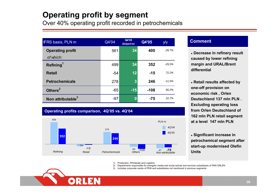# **Operating profit by segment**

Over 40% operating profit recorded in petrochemicals

| <b>IFRS basis, PLN m</b>             | Q4'04 | Q4'05<br><b>Unipetrol</b> | Q4'05  | y/y      |
|--------------------------------------|-------|---------------------------|--------|----------|
| <b>Operating profit</b><br>of which: | 561   | 34                        | 400    | $-28.7%$ |
| Refining <sup>1</sup>                | 499   | 34                        | 352    | $-29.5%$ |
| <b>Retail</b>                        | $-54$ | 12                        | $-15$  | 72,2%    |
| <b>Petrochemicals</b>                | 278   | $\mathbf{3}$              | 246    | $-11.5%$ |
| Others <sup>2</sup>                  | $-65$ | $-15$                     | $-108$ | 66,2%    |
| Non attributable <sup>3</sup>        | $-97$ | $\bf{0}$                  | $-75$  | 22,7%    |

### **Operating profits comparison, 4Q'05 v s. 4Q'04**



### **Comment**

z **Decrease in refinery result caused by low er r efining margin and URAL/Brent differential**

**• Retail results affected by one-off provision on economic ris k , Orlen Deutschland 137 mln PLN . Ex cluding operating los s from Orlen Deutschland of 162 mln PLN retail s egment at a level 147 mln PLN** 

z **Significant incre a s e in petrochemical s egme nt after start-up modernised Olefin Units**

1) Production, Wholesale and Logistics

2) Departments responsible for energetic media and social activity and services subsidiaries of PKN ORLEN

3) Includes corporate centre of PKN and subsidiaries not mentioned in previous segments

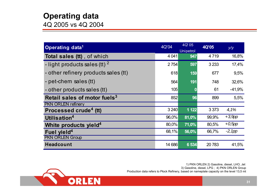# **Operating data**

4Q 2005 vs 4Q 2004

| Operating data <sup>1</sup>              | 4Q'04   | 4Q'05<br>Unipetrol | <b>4Q'05</b> | y/y       |
|------------------------------------------|---------|--------------------|--------------|-----------|
| <b>Total sales (tt)</b> , of which       | 4 0 4 1 | 947                | 4719         | 16,8%     |
| - light products sales (tt) $^2$         | 2 7 54  | 597                | 3 2 3 3      | 17,4%     |
| - other refinery products sales (tt)     | 618     | 159                | 677          | 9,5%      |
| - pet-chem sales (tt)                    | 564     | 191                | 748          | 32,6%     |
| - other products sales (tt)              | 105     | 0                  | 61           | $-41,9%$  |
| Retail sales of motor fuels <sup>3</sup> | 852     | 96                 | 899          | 5,5%      |
| <b>PKN ORLEN refinery</b>                |         |                    |              |           |
| Processed crude <sup>4</sup> (tt)        | 3 2 4 0 | 1 1 2 2            | 3 3 7 3      | 4,1%      |
| Utilisation <sup>4</sup>                 | 96,0%   | 81,0%              | 99,9%        | $+3,9$ pp |
| White products yield <sup>4</sup>        | 80,0%   | 71,0%              | 80,5%        | $+0,5$ pp |
| Fuel yield <sup>4</sup>                  | 68,1%   | 56,0%              | 66,7%        | $-2, 1pp$ |
| <b>PKN ORLEN Group</b>                   |         |                    |              |           |
| <b>Headcount</b>                         | 14 686  | 6 5 34             | 20783        | 41,5%     |

1) PKN ORLEN 2) Gasoline, diesel, LHO, Jet 3) Gasoline, diesel, LPG ; 4) PKN ORLEN Group Production data refers to Płock Refinery, based on nameplate capacity on the level 13,5 mt

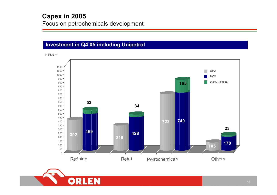# **Investment in Q4'05 including Unipetrol**

In PLN m



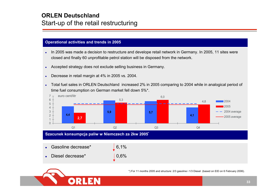# **ORLEN Deutschland** Start-up of the retail restructuring

### **Operational activities and trends in 2005**

- e In 2005 was made a decision to restructure and develope retail network in Germany. In 2005, 11 sites were closed and finally 60 unprofitable petrol station will be disposed from the network.
- e Accepted strategy does not exclude selling business in Germany.
- e Decrease in retail margin at 4% in 2005 vs. 2004.
- e Total fuel sales in ORLEN Deutschland increased 2% in 2005 comparing to 2004 while in analogical period of time fuel consumption on German market fell down 5%\*.





\*) For 11 months 2005 and structure: 2/3 gasoline i 1/3 Diesel (based on EID on 6 February 2006).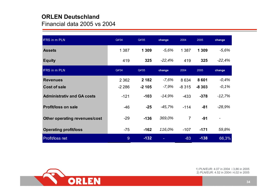# **ORLEN Deutschland**

Financial data 2005 vs 2004

| <b>IFRS in m PLN</b>                 | Q4'04   | Q4'05   | change   | 2004           | 2005    | change   |  |
|--------------------------------------|---------|---------|----------|----------------|---------|----------|--|
| <b>Assets</b>                        | 1 3 8 7 | 1 3 0 9 | $-5,6%$  | 1 3 8 7        | 1 3 0 9 | $-5,6%$  |  |
| <b>Equity</b>                        | 419     | 325     | $-22,4%$ | 419            | 325     | $-22,4%$ |  |
| <b>IFRS in m PLN</b>                 | Q4'04   | Q4'05   | change   | 2004           | 2005    | change   |  |
| <b>Revenues</b>                      | 2 3 6 2 | 2 1 8 2 | $-7,6%$  | 8634           | 8601    | $-0,4%$  |  |
| Cost of sale                         | $-2286$ | $-2105$ | -7,9%    | $-8315$        | $-8303$ | $-0,1%$  |  |
| <b>Administrativ and GA costs</b>    | $-121$  | $-103$  | $-14,9%$ | $-433$         | $-378$  | -12,7%   |  |
| <b>Profit/loss on sale</b>           | $-46$   | $-25$   | $-45,7%$ | $-114$         | $-81$   | $-28,9%$ |  |
| <b>Other operating revenues/cost</b> | $-29$   | $-136$  | 369,0%   | $\overline{7}$ | $-91$   |          |  |
| <b>Operating profit/loss</b>         | $-75$   | $-162$  | 116,0%   | $-107$         | $-171$  | 59,8%    |  |
| Profit/loss net                      | 9       | $-132$  |          | $-83$          | $-138$  | 66,3%    |  |



1) PLN/EUR: 4.07 in 2004 i 3,86 in 2005 2) PLN/EUR: 4.52 in 2004 i 4,02 in 2005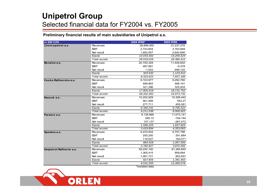# **Unipetrol Group** Selected financial data for FY2004 vs. FY2005

### **Preliminary financial results of main subsidiaries of Unipetrol a.s.**

| in 000 CZK               |                     | 2004 IFRS*     | <b>2005 IFRS</b> |  |
|--------------------------|---------------------|----------------|------------------|--|
| Chemopetrol a.s.         | <b>Revenues</b>     | 28,899,450     | 31,237,276       |  |
|                          | <b>EBIT</b>         | 2,743,604      | 3,163,848        |  |
|                          | Net result          | 1,952,507      | 2,642,690        |  |
|                          | Equity              | 13,033,302     | 14,200,524       |  |
|                          | <b>Total assets</b> | 28,533,029     | 28,385,412       |  |
| Benzina a.s.             | <b>Revenues</b>     | 20,700,329     | 11,426,602       |  |
|                          | <b>EBIT</b>         | 487,891        | $-9,378$         |  |
|                          | Net result          | $-1,053$       | $-499,120$       |  |
|                          | Equity              | 323.532        | 1,123,412        |  |
|                          | <b>Total assets</b> | 8,323,622      | 7,657,185        |  |
| Ceska Rafinerska a.s.    | Revenues            | 9,103,977      | 9,292,780        |  |
|                          | <b>EBIT</b>         | 489,963        | 468,191          |  |
|                          | Net result          | 321,396        | 325,834          |  |
|                          | Equity              | 17,805,918     | 18, 131, 752     |  |
|                          | Total assets        | 28,332,362     | 24,973,731       |  |
| Kaucuk a.s.              | Revenues            | 10,202,929     | 10,395,442       |  |
|                          | <b>EBIT</b>         | 561,906        | 553,27           |  |
|                          | Net result          | 277,711        | 455,081          |  |
|                          | Equity              | 6,340,241      | 6,795,322        |  |
|                          | Total assets        | 9,211,038      | 8,909,922        |  |
| Paramo a.s.              | Revenues            | 9,136,966      | 11,073,141       |  |
|                          | <b>EBIT</b>         | 285,72         | $-156.744$       |  |
|                          | Net result          | 157,137        | $-267,072$       |  |
|                          | Equity              | 1,596,225      | 1,837,825        |  |
|                          | Total assets        | 3.419.894      | 4,353,063        |  |
| Spolana a.s.             | <b>Revenues</b>     | 5,070,504      | 5,757,796        |  |
|                          | <b>EBIT</b>         | 250,250        | 291,884          |  |
|                          | Net result          | 118,527        | 183,071          |  |
|                          | Equity              | 884.528        | 1,067,599        |  |
|                          | Total assets        | 3,782,827      | 3,870,302        |  |
| Unipetrol Rafinerie a.s. | Revenues            | 59,252,192     | 81,384,840       |  |
|                          | <b>EBIT</b>         | 1,365,415      | 958,694          |  |
|                          | Net result          | 1,061,731      | 563,657          |  |
|                          | Equity              | 827.805        | 1,391,463        |  |
|                          | Total assets        | 9,531,005      | 13,390,578       |  |
|                          |                     | *restated data |                  |  |

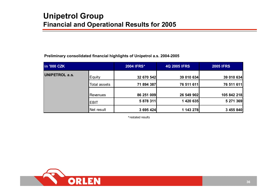#### **Preliminary consolidated financial highlights of Unipetrol a.s. 2004-2005**

| in '000 CZK           |              | 2004 IFRS* | <b>4Q 2005 IFRS</b> | <b>2005 IFRS</b> |  |  |
|-----------------------|--------------|------------|---------------------|------------------|--|--|
| <b>UNIPETROL a.s.</b> | Equity       | 32 670 542 | 39 010 634          | 39 010 634       |  |  |
|                       | Total assets | 71 894 387 | 76 511 611          | 76 511 611       |  |  |
|                       | Revenues     | 86 251 009 | 26 549 902          | 105 842 218      |  |  |
|                       | <b>EBIT</b>  | 5 878 311  | 1 420 635           | 5 271 369        |  |  |
|                       | Net result   | 3 695 424  | 1 143 278           | 3 455 840        |  |  |

\*restated results

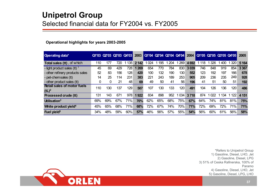# **Unipetrol Group** Selected financial data for FY2004 vs. FY2005

### **Operational highlights for years 2003-2005**

| Operating data*                    |     |     | Q1'03 Q2'03 Q3'03 Q4'03 |     | 2003  |     |     | 01'04 02'04 03'04 04'04 |      | 2004 |     | Q1'05 Q2'05 Q3'05 Q4'05 |     |                  | 2005    |
|------------------------------------|-----|-----|-------------------------|-----|-------|-----|-----|-------------------------|------|------|-----|-------------------------|-----|------------------|---------|
| Total sales (tt), of which         | 110 | 177 | 720                     | 135 | 2 142 | 024 | 195 | 204                     | 269  | 4692 | 118 | 326                     | 400 | 320 <sup>1</sup> | 5 1 6 4 |
| - light product sales (tt) $1$     | 45  | 69  | 429                     | 728 | 269   | 654 | 770 | 784                     | 830  | 3039 | 746 | 848                     | 919 | 854              | 3 3 6 7 |
| - other refinery products sales    | 52  | 83  | 156                     | 128 | 420   | 100 | 132 | 190                     | 130  | 552  | 123 | 192                     | 197 | 166              | 678     |
| - pet-chemsales (tt)               | 14  | 25  | 114                     | 231 | 383   | 221 | 243 | 189                     | 253  | 905  | 209 | 236                     | 235 | 249              | 928     |
| - other product sales (tt)         | 0   | 0   | 21                      | 48  | 69    | 49  | 50  | 41                      | 56   | 196  | 41  | 51                      | 50  | 51               | 192     |
| <b>Retail sales of motor fuels</b> | 110 | 130 | 137                     | 129 | 507   | 107 | 130 | 133                     | 120  | 491  | 104 | 126                     | 136 | 120              | 486     |
| $(tL)^2$                           |     |     |                         |     |       |     |     |                         |      |      |     |                         |     |                  |         |
| <b>Processed crude (tt)</b>        | 131 | 143 | 671                     | 978 | 1922  | 834 | 898 | 952                     | 1034 | 3718 | 874 | 022                     | 134 |                  | 4 1 5 1 |
| Utilisation <sup>3</sup>           | 69% | 69% | 67%                     | 71% | 70%   | 62% | 65% | 68%                     | 75%  | 67%  | 64% | 74%                     | 81% | 81%              | 75%     |
| White product yield <sup>4</sup>   | 45% | 65% | 68%                     | 71% | 68%   | 72% | 67% | 74%                     | 70%  | 71%  | 72% | 69%                     | 72% | 71%              | 71%     |
| Fuel yield <sup>5</sup>            | 34% | 48% | 59%                     | 60% | 57%   | 46% | 56% | 57%                     | 55%  | 54%  | 56% | 60%                     | 61% | 56%              | 58%     |

\*Refers to Unipetrol Group 1) Gasoline, Diesel, LHO, Jet 2) Gasoline, Diesel, LPG 3) 51% of Ceska Rafinerska, 100% of Paramo4) Gasoline, Diesel, LHO, Jet 5) Gasoline, Diesel, LPG, LHO

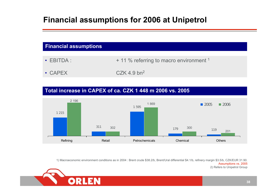# **Financial assumptions for 2006 at Unipetrol**

| <b>Financial assumptions</b> |                                                                       |
|------------------------------|-----------------------------------------------------------------------|
| $\cdot$ EBITDA:              | + 11 % referring to macro environment <sup>1</sup>                    |
|                              | $\mathbf{A} = \mathbf{I} \times \mathbf{A} + \mathbf{A} + \mathbf{A}$ |

• CAPEX • CAPEX CZK 4.9 bn<sup>2</sup>

# **Total increase in CAPEX of ca. CZK 1 448 m 2006 vs. 2005**



1) Macroeconomic environment conditions as in 2004 : Brent crude \$38.2/b, Brent/Ural differential \$4.1/b, refinery margin \$3.5/b, CZK/EUR 31.90. Assumptions vs. 2005 2) Refers to Unipetrol Group

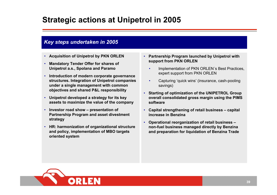# **Strategic actions at Unipetrol in 2005**

# *Key steps undertaken in 2005*

- **Acquisition of Uni petrol by PKN ORLEN**
- **Mandatory Tender Offer for share s of Unipetrol a.s., Spolana and Paramo**
- **Introduction of modern corporate governance structures. I ntegration of Uni petrol companies under a single management with common objective s and shared P&L responsibility**
- **Uni petrol developed a strategy for its key assets to maximize the value of the compan y**
- **Investor road show – presentation of Partnership Program and asset divestment strategy**
- **HR: harmonization of organizatio nal structure and policy, impleme ntation of MBO targets oriented system**

### • **Partnership Program launched by Unipetrol with support from PKN O RLEN**

- •• Implementation of PKN ORLEN's Best Practices, expert support from PKN ORLEN
- • Capturi ng ' quick wins' (insurance, cash-pooling savin gs)
- **Starting of optimization of t he UNIPETROL Group overall consolidated gross margi n usi ng t he PIMS software**
- **Capital strengthening of retail business – capital increase in Benzina**
- **Operational reorganization of retail busi ness –non-fuel business managed directly by Benzi na**and preparation for liquidation of Benzina Trade